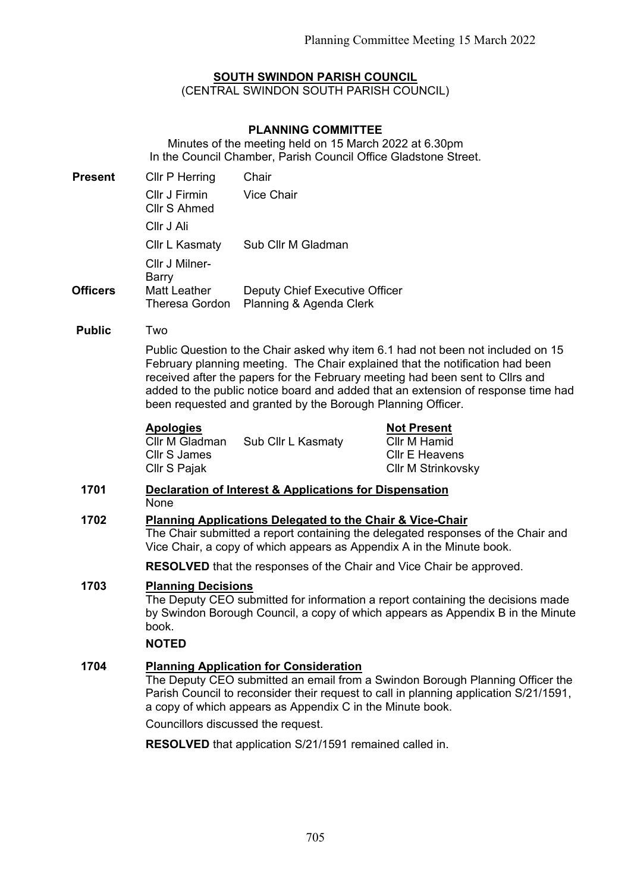# **SOUTH SWINDON PARISH COUNCIL**

(CENTRAL SWINDON SOUTH PARISH COUNCIL)

### **PLANNING COMMITTEE**

Minutes of the meeting held on 15 March 2022 at 6.30pm In the Council Chamber, Parish Council Office Gladstone Street.

| <b>Present</b>  | <b>Cllr P Herring</b>                        | Chair                                                     |
|-----------------|----------------------------------------------|-----------------------------------------------------------|
|                 | Cllr J Firmin<br>Cllr S Ahmed                | Vice Chair                                                |
|                 | Cllr J Ali                                   |                                                           |
|                 | Cllr L Kasmaty                               | Sub Cllr M Gladman                                        |
|                 | Cllr J Milner-<br>Barry                      |                                                           |
| <b>Officers</b> | <b>Matt Leather</b><br><b>Theresa Gordon</b> | Deputy Chief Executive Officer<br>Planning & Agenda Clerk |

#### **Public** Two

Public Question to the Chair asked why item 6.1 had not been not included on 15 February planning meeting. The Chair explained that the notification had been received after the papers for the February meeting had been sent to Cllrs and added to the public notice board and added that an extension of response time had been requested and granted by the Borough Planning Officer.

### **Apologies**

Cllr M Gladman Cllr S James Cllr S Pajak Sub Cllr L Kasmaty **Not Present** Cllr M Hamid Cllr E Heavens Cllr M Strinkovsky

### **1701 Declaration of Interest & Applications for Dispensation** None

# **1702 Planning Applications Delegated to the Chair & Vice-Chair**

The Chair submitted a report containing the delegated responses of the Chair and Vice Chair, a copy of which appears as Appendix A in the Minute book.

**RESOLVED** that the responses of the Chair and Vice Chair be approved.

# **1703 Planning Decisions**

The Deputy CEO submitted for information a report containing the decisions made by Swindon Borough Council, a copy of which appears as Appendix B in the Minute book.

### **NOTED**

### **1704 Planning Application for Consideration**

The Deputy CEO submitted an email from a Swindon Borough Planning Officer the Parish Council to reconsider their request to call in planning application S/21/1591, a copy of which appears as Appendix C in the Minute book.

Councillors discussed the request.

**RESOLVED** that application S/21/1591 remained called in.